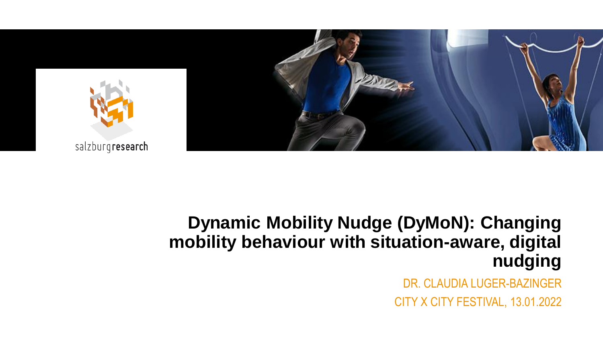

### **Dynamic Mobility Nudge (DyMoN): Changing mobility behaviour with situation-aware, digital nudging**

DR. CLAUDIA LUGER-BAZINGER CITY X CITY FESTIVAL, 13.01.2022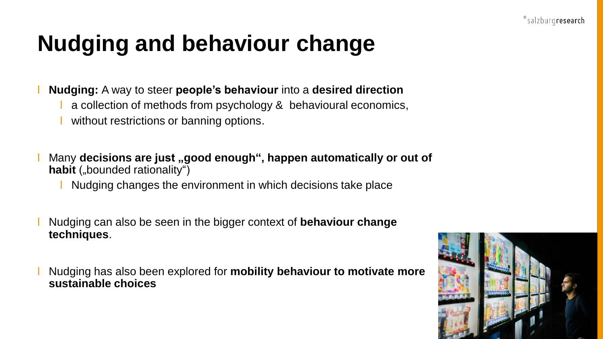### **Nudging and behaviour change**

ꞁ **Nudging:** A way to steer **people's behaviour** into a **desired direction**

- a collection of methods from psychology & behavioural economics,
- without restrictions or banning options.
- Many decisions are just "good enough", happen automatically or out of habit ("bounded rationality")
	- Nudging changes the environment in which decisions take place
- ꞁ Nudging can also be seen in the bigger context of **behaviour change techniques**.

ꞁ Nudging has also been explored for **mobility behaviour to motivate more sustainable choices**

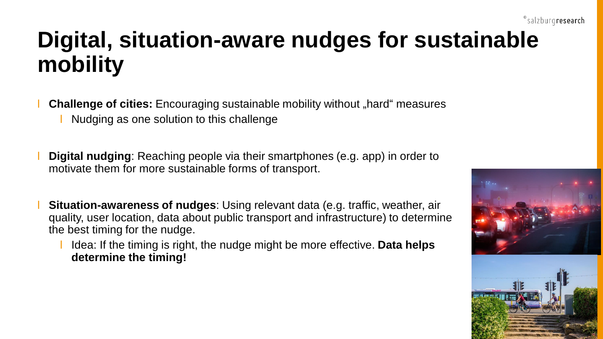## **Digital, situation-aware nudges for sustainable mobility**

**Challenge of cities:** Encouraging sustainable mobility without "hard" measures

Nudging as one solution to this challenge

**Digital nudging**: Reaching people via their smartphones (e.g. app) in order to motivate them for more sustainable forms of transport.

- **Situation-awareness of nudges**: Using relevant data (e.g. traffic, weather, air quality, user location, data about public transport and infrastructure) to determine the best timing for the nudge.
	- ꞁ Idea: If the timing is right, the nudge might be more effective. **Data helps determine the timing!**

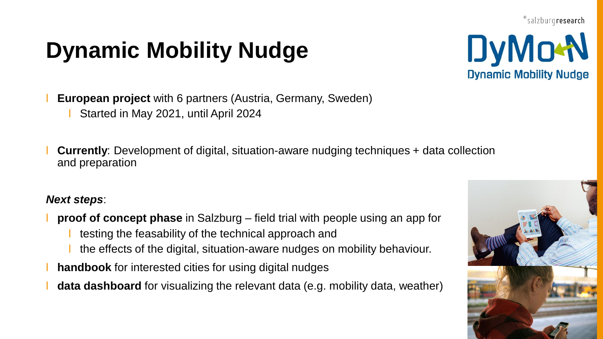# **Dynamic Mobility Nudge**



**European project** with 6 partners (Austria, Germany, Sweden)

ꞁ Started in May 2021, until April 2024

ꞁ **Currently**: Development of digital, situation-aware nudging techniques + data collection and preparation

#### *Next steps*:

- ꞁ **proof of concept phase** in Salzburg field trial with people using an app for
	- ꞁ testing the feasability of the technical approach and
	- ꞁ the effects of the digital, situation-aware nudges on mobility behaviour.
- handbook for interested cities for using digital nudges
- **data dashboard** for visualizing the relevant data (e.g. mobility data, weather)